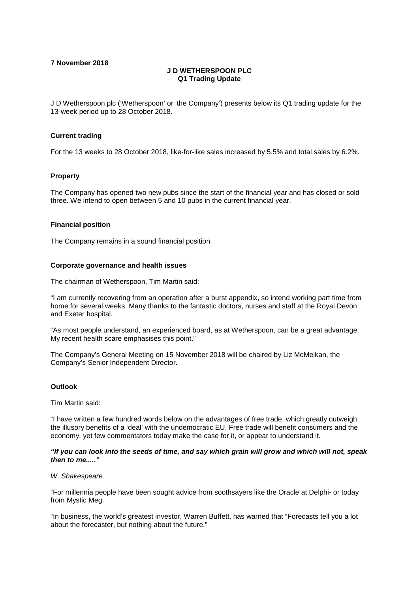**7 November 2018**

# **J D WETHERSPOON PLC Q1 Trading Update**

J D Wetherspoon plc ('Wetherspoon' or 'the Company') presents below its Q1 trading update for the 13-week period up to 28 October 2018.

## **Current trading**

For the 13 weeks to 28 October 2018, like-for-like sales increased by 5.5% and total sales by 6.2%.

## **Property**

The Company has opened two new pubs since the start of the financial year and has closed or sold three. We intend to open between 5 and 10 pubs in the current financial year.

# **Financial position**

The Company remains in a sound financial position.

# **Corporate governance and health issues**

The chairman of Wetherspoon, Tim Martin said:

"I am currently recovering from an operation after a burst appendix, so intend working part time from home for several weeks. Many thanks to the fantastic doctors, nurses and staff at the Royal Devon and Exeter hospital.

"As most people understand, an experienced board, as at Wetherspoon, can be a great advantage. My recent health scare emphasises this point."

The Company's General Meeting on 15 November 2018 will be chaired by Liz McMeikan, the Company's Senior Independent Director.

## **Outlook**

Tim Martin said:

"I have written a few hundred words below on the advantages of free trade, which greatly outweigh the illusory benefits of a 'deal' with the undemocratic EU. Free trade will benefit consumers and the economy, yet few commentators today make the case for it, or appear to understand it.

## *"If you can look into the seeds of time, and say which grain will grow and which will not, speak then to me....."*

#### *W. Shakespeare.*

"For millennia people have been sought advice from soothsayers like the Oracle at Delphi- or today from Mystic Meg.

"In business, the world's greatest investor, Warren Buffett, has warned that "Forecasts tell you a lot about the forecaster, but nothing about the future."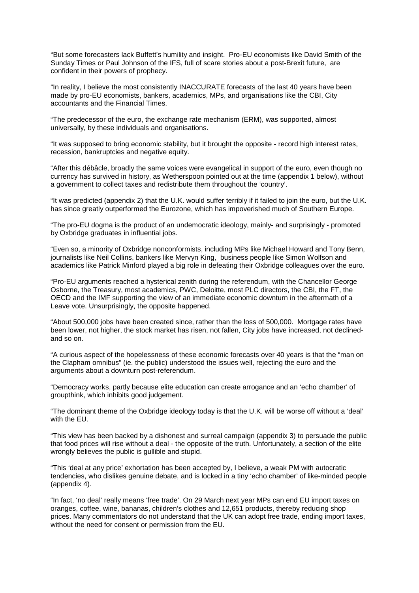"But some forecasters lack Buffett's humility and insight. Pro-EU economists like David Smith of the Sunday Times or Paul Johnson of the IFS, full of scare stories about a post-Brexit future, are confident in their powers of prophecy.

"In reality, I believe the most consistently INACCURATE forecasts of the last 40 years have been made by pro-EU economists, bankers, academics, MPs, and organisations like the CBI, City accountants and the Financial Times.

"The predecessor of the euro, the exchange rate mechanism (ERM), was supported, almost universally, by these individuals and organisations.

"It was supposed to bring economic stability, but it brought the opposite - record high interest rates, recession, bankruptcies and negative equity.

"After this débâcle, broadly the same voices were evangelical in support of the euro, even though no currency has survived in history, as Wetherspoon pointed out at the time (appendix 1 below), without a government to collect taxes and redistribute them throughout the 'country'.

"It was predicted (appendix 2) that the U.K. would suffer terribly if it failed to join the euro, but the U.K. has since greatly outperformed the Eurozone, which has impoverished much of Southern Europe.

"The pro-EU dogma is the product of an undemocratic ideology, mainly- and surprisingly - promoted by Oxbridge graduates in influential jobs.

"Even so, a minority of Oxbridge nonconformists, including MPs like Michael Howard and Tony Benn, journalists like Neil Collins, bankers like Mervyn King, business people like Simon Wolfson and academics like Patrick Minford played a big role in defeating their Oxbridge colleagues over the euro.

"Pro-EU arguments reached a hysterical zenith during the referendum, with the Chancellor George Osborne, the Treasury, most academics, PWC, Deloitte, most PLC directors, the CBI, the FT, the OECD and the IMF supporting the view of an immediate economic downturn in the aftermath of a Leave vote. Unsurprisingly, the opposite happened.

"About 500,000 jobs have been created since, rather than the loss of 500,000. Mortgage rates have been lower, not higher, the stock market has risen, not fallen, City jobs have increased, not declinedand so on.

"A curious aspect of the hopelessness of these economic forecasts over 40 years is that the "man on the Clapham omnibus" (ie. the public) understood the issues well, rejecting the euro and the arguments about a downturn post-referendum.

"Democracy works, partly because elite education can create arrogance and an 'echo chamber' of groupthink, which inhibits good judgement.

"The dominant theme of the Oxbridge ideology today is that the U.K. will be worse off without a 'deal' with the EU.

"This view has been backed by a dishonest and surreal campaign (appendix 3) to persuade the public that food prices will rise without a deal - the opposite of the truth. Unfortunately, a section of the elite wrongly believes the public is gullible and stupid.

"This 'deal at any price' exhortation has been accepted by, I believe, a weak PM with autocratic tendencies, who dislikes genuine debate, and is locked in a tiny 'echo chamber' of like-minded people (appendix 4).

"In fact, 'no deal' really means 'free trade'. On 29 March next year MPs can end EU import taxes on oranges, coffee, wine, bananas, children's clothes and 12,651 products, thereby reducing shop prices. Many commentators do not understand that the UK can adopt free trade, ending import taxes, without the need for consent or permission from the EU.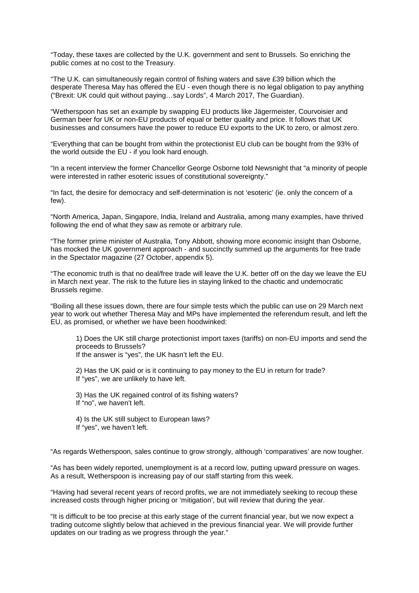"Today, these taxes are collected by the U.K. government and sent to Brussels. So enriching the public comes at no cost to the Treasury.

"The U.K. can simultaneously regain control of fishing waters and save £39 billion which the desperate Theresa May has offered the EU - even though there is no legal obligation to pay anything ("Brexit: UK could quit without paying…say Lords", 4 March 2017, The Guardian).

"Wetherspoon has set an example by swapping EU products like Jägermeister, Courvoisier and German beer for UK or non-EU products of equal or better quality and price. It follows that UK businesses and consumers have the power to reduce EU exports to the UK to zero, or almost zero.

"Everything that can be bought from within the protectionist EU club can be bought from the 93% of the world outside the EU - if you look hard enough.

"In a recent interview the former Chancellor George Osborne told Newsnight that "a minority of people were interested in rather esoteric issues of constitutional sovereignty."

"In fact, the desire for democracy and self-determination is not 'esoteric' (ie. only the concern of a few).

"North America, Japan, Singapore, India, Ireland and Australia, among many examples, have thrived following the end of what they saw as remote or arbitrary rule.

"The former prime minister of Australia, Tony Abbott, showing more economic insight than Osborne, has mocked the UK government approach - and succinctly summed up the arguments for free trade in the Spectator magazine (27 October, appendix 5).

"The economic truth is that no deal/free trade will leave the U.K. better off on the day we leave the EU in March next year. The risk to the future lies in staying linked to the chaotic and undemocratic Brussels regime.

"Boiling all these issues down, there are four simple tests which the public can use on 29 March next year to work out whether Theresa May and MPs have implemented the referendum result, and left the EU, as promised, or whether we have been hoodwinked:

1) Does the UK still charge protectionist import taxes (tariffs) on non-EU imports and send the proceeds to Brussels?

If the answer is "yes", the UK hasn't left the EU.

2) Has the UK paid or is it continuing to pay money to the EU in return for trade? If "yes", we are unlikely to have left.

3) Has the UK regained control of its fishing waters? If "no", we haven't left.

4) Is the UK still subject to European laws? If "yes", we haven't left.

"As regards Wetherspoon, sales continue to grow strongly, although 'comparatives' are now tougher.

"As has been widely reported, unemployment is at a record low, putting upward pressure on wages. As a result, Wetherspoon is increasing pay of our staff starting from this week.

"Having had several recent years of record profits, we are not immediately seeking to recoup these increased costs through higher pricing or 'mitigation', but will review that during the year.

"It is difficult to be too precise at this early stage of the current financial year, but we now expect a trading outcome slightly below that achieved in the previous financial year. We will provide further updates on our trading as we progress through the year."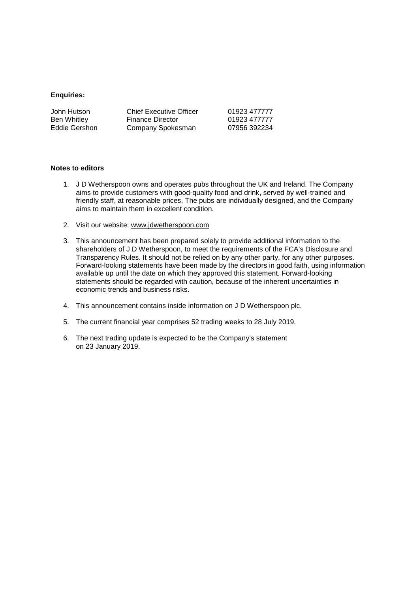### **Enquiries:**

| John Hutson   | <b>Chief Executive Officer</b> | 01923 477777 |
|---------------|--------------------------------|--------------|
| Ben Whitley   | <b>Finance Director</b>        | 01923 477777 |
| Eddie Gershon | Company Spokesman              | 07956 392234 |

#### **Notes to editors**

- 1. J D Wetherspoon owns and operates pubs throughout the UK and Ireland. The Company aims to provide customers with good-quality food and drink, served by well-trained and friendly staff, at reasonable prices. The pubs are individually designed, and the Company aims to maintain them in excellent condition.
- 2. Visit our website: [www.jdwetherspoon.com](http://www.jdwetherspoon.com/)
- 3. This announcement has been prepared solely to provide additional information to the shareholders of J D Wetherspoon, to meet the requirements of the FCA's Disclosure and Transparency Rules. It should not be relied on by any other party, for any other purposes. Forward-looking statements have been made by the directors in good faith, using information available up until the date on which they approved this statement. Forward-looking statements should be regarded with caution, because of the inherent uncertainties in economic trends and business risks.
- 4. This announcement contains inside information on J D Wetherspoon plc.
- 5. The current financial year comprises 52 trading weeks to 28 July 2019.
- 6. The next trading update is expected to be the Company's statement on 23 January 2019.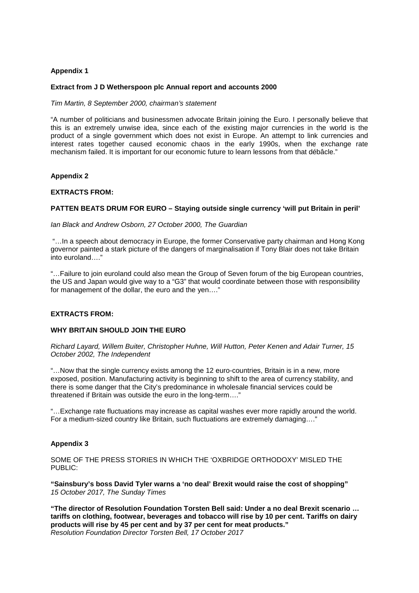## **Appendix 1**

### **Extract from J D Wetherspoon plc Annual report and accounts 2000**

*Tim Martin, 8 September 2000, chairman's statement*

"A number of politicians and businessmen advocate Britain joining the Euro. I personally believe that this is an extremely unwise idea, since each of the existing major currencies in the world is the product of a single government which does not exist in Europe. An attempt to link currencies and interest rates together caused economic chaos in the early 1990s, when the exchange rate mechanism failed. It is important for our economic future to learn lessons from that débâcle."

#### **Appendix 2**

#### **EXTRACTS FROM:**

## **PATTEN BEATS DRUM FOR EURO – Staying outside single currency 'will put Britain in peril'**

*Ian Black and Andrew Osborn, 27 October 2000, The Guardian*

"…In a speech about democracy in Europe, the former Conservative party chairman and Hong Kong governor painted a stark picture of the dangers of marginalisation if Tony Blair does not take Britain into euroland…."

"…Failure to join euroland could also mean the Group of Seven forum of the big European countries, the US and Japan would give way to a "G3" that would coordinate between those with responsibility for management of the dollar, the euro and the yen…."

# **EXTRACTS FROM:**

## **WHY BRITAIN SHOULD JOIN THE EURO**

*Richard Layard, Willem Buiter, Christopher Huhne, Will Hutton, Peter Kenen and Adair Turner, 15 October 2002, The Independent*

"…Now that the single currency exists among the 12 euro-countries, Britain is in a new, more exposed, position. Manufacturing activity is beginning to shift to the area of currency stability, and there is some danger that the City's predominance in wholesale financial services could be threatened if Britain was outside the euro in the long-term…."

"…Exchange rate fluctuations may increase as capital washes ever more rapidly around the world. For a medium-sized country like Britain, such fluctuations are extremely damaging…."

# **Appendix 3**

SOME OF THE PRESS STORIES IN WHICH THE 'OXBRIDGE ORTHODOXY' MISLED THE PUBLIC:

**"Sainsbury's boss David Tyler warns a 'no deal' Brexit would raise the cost of shopping"** *15 October 2017, The Sunday Times*

**"The director of Resolution Foundation Torsten Bell said: Under a no deal Brexit scenario … tariffs on clothing, footwear, beverages and tobacco will rise by 10 per cent. Tariffs on dairy products will rise by 45 per cent and by 37 per cent for meat products."** *Resolution Foundation Director Torsten Bell, 17 October 2017*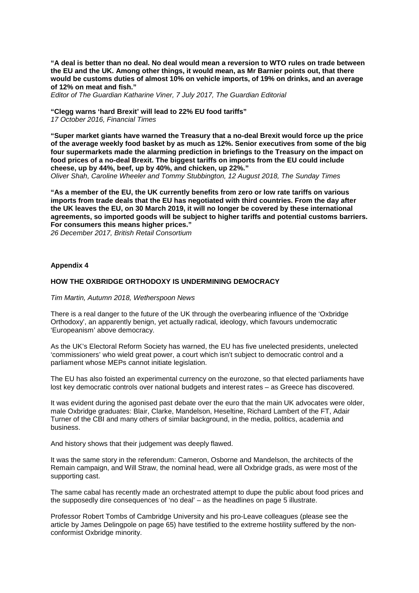**"A deal is better than no deal. No deal would mean a reversion to WTO rules on trade between the EU and the UK. Among other things, it would mean, as Mr Barnier points out, that there would be customs duties of almost 10% on vehicle imports, of 19% on drinks, and an average of 12% on meat and fish."**

*Editor of The Guardian Katharine Viner, 7 July 2017, The Guardian Editorial*

# **"Clegg warns 'hard Brexit' will lead to 22% EU food tariffs"**

*17 October 2016, Financial Times*

**"Super market giants have warned the Treasury that a no-deal Brexit would force up the price of the average weekly food basket by as much as 12%. Senior executives from some of the big four supermarkets made the alarming prediction in briefings to the Treasury on the impact on food prices of a no-deal Brexit. The biggest tariffs on imports from the EU could include cheese, up by 44%, beef, up by 40%, and chicken, up 22%."** *Oliver Shah, Caroline Wheeler and Tommy Stubbington, 12 August 2018, The Sunday Times*

**"As a member of the EU, the UK currently benefits from zero or low rate tariffs on various imports from trade deals that the EU has negotiated with third countries. From the day after the UK leaves the EU, on 30 March 2019, it will no longer be covered by these international agreements, so imported goods will be subject to higher tariffs and potential customs barriers. For consumers this means higher prices."**

*26 December 2017, British Retail Consortium*

# **Appendix 4**

## **HOW THE OXBRIDGE ORTHODOXY IS UNDERMINING DEMOCRACY**

#### *Tim Martin, Autumn 2018, Wetherspoon News*

There is a real danger to the future of the UK through the overbearing influence of the 'Oxbridge Orthodoxy', an apparently benign, yet actually radical, ideology, which favours undemocratic 'Europeanism' above democracy.

As the UK's Electoral Reform Society has warned, the EU has five unelected presidents, unelected 'commissioners' who wield great power, a court which isn't subject to democratic control and a parliament whose MEPs cannot initiate legislation.

The EU has also foisted an experimental currency on the eurozone, so that elected parliaments have lost key democratic controls over national budgets and interest rates – as Greece has discovered.

It was evident during the agonised past debate over the euro that the main UK advocates were older, male Oxbridge graduates: Blair, Clarke, Mandelson, Heseltine, Richard Lambert of the FT, Adair Turner of the CBI and many others of similar background, in the media, politics, academia and business.

And history shows that their judgement was deeply flawed.

It was the same story in the referendum: Cameron, Osborne and Mandelson, the architects of the Remain campaign, and Will Straw, the nominal head, were all Oxbridge grads, as were most of the supporting cast.

The same cabal has recently made an orchestrated attempt to dupe the public about food prices and the supposedly dire consequences of 'no deal' – as the headlines on page 5 illustrate.

Professor Robert Tombs of Cambridge University and his pro-Leave colleagues (please see the article by James Delingpole on page 65) have testified to the extreme hostility suffered by the nonconformist Oxbridge minority.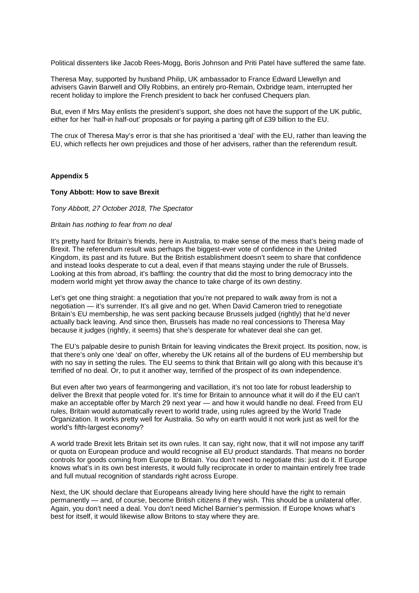Political dissenters like Jacob Rees-Mogg, Boris Johnson and Priti Patel have suffered the same fate.

Theresa May, supported by husband Philip, UK ambassador to France Edward Llewellyn and advisers Gavin Barwell and Olly Robbins, an entirely pro-Remain, Oxbridge team, interrupted her recent holiday to implore the French president to back her confused Chequers plan.

But, even if Mrs May enlists the president's support, she does not have the support of the UK public, either for her 'half-in half-out' proposals or for paying a parting gift of £39 billion to the EU.

The crux of Theresa May's error is that she has prioritised a 'deal' with the EU, rather than leaving the EU, which reflects her own prejudices and those of her advisers, rather than the referendum result.

#### **Appendix 5**

#### **Tony Abbott: How to save Brexit**

#### *Tony Abbott, 27 October 2018, The Spectator*

#### *Britain has nothing to fear from no deal*

It's pretty hard for Britain's friends, here in Australia, to make sense of the mess that's being made of Brexit. The referendum result was perhaps the biggest-ever vote of confidence in the United Kingdom, its past and its future. But the British establishment doesn't seem to share that confidence and instead looks desperate to cut a deal, even if that means staying under the rule of Brussels. Looking at this from abroad, it's baffling: the country that did the most to bring democracy into the modern world might yet throw away the chance to take charge of its own destiny.

Let's get one thing straight: a negotiation that you're not prepared to walk away from is not a negotiation — it's surrender. It's all give and no get. When David Cameron tried to renegotiate Britain's EU membership, he was sent packing because Brussels judged (rightly) that he'd never actually back leaving. And since then, Brussels has made no real concessions to Theresa May because it judges (rightly, it seems) that she's desperate for whatever deal she can get.

The EU's palpable desire to punish Britain for leaving vindicates the Brexit project. Its position, now, is that there's only one 'deal' on offer, whereby the UK retains all of the burdens of EU membership but with no say in setting the rules. The EU seems to think that Britain will go along with this because it's terrified of no deal. Or, to put it another way, terrified of the prospect of its own independence.

But even after two years of fearmongering and vacillation, it's not too late for robust leadership to deliver the Brexit that people voted for. It's time for Britain to announce what it will do if the EU can't make an acceptable offer by March 29 next year — and how it would handle no deal. Freed from EU rules, Britain would automatically revert to world trade, using rules agreed by the World Trade Organization. It works pretty well for Australia. So why on earth would it not work just as well for the world's fifth-largest economy?

A world trade Brexit lets Britain set its own rules. It can say, right now, that it will not impose any tariff or quota on European produce and would recognise all EU product standards. That means no border controls for goods coming from Europe to Britain. You don't need to negotiate this: just do it. If Europe knows what's in its own best interests, it would fully reciprocate in order to maintain entirely free trade and full mutual recognition of standards right across Europe.

Next, the UK should declare that Europeans already living here should have the right to remain permanently — and, of course, become British citizens if they wish. This should be a unilateral offer. Again, you don't need a deal. You don't need Michel Barnier's permission. If Europe knows what's best for itself, it would likewise allow Britons to stay where they are.